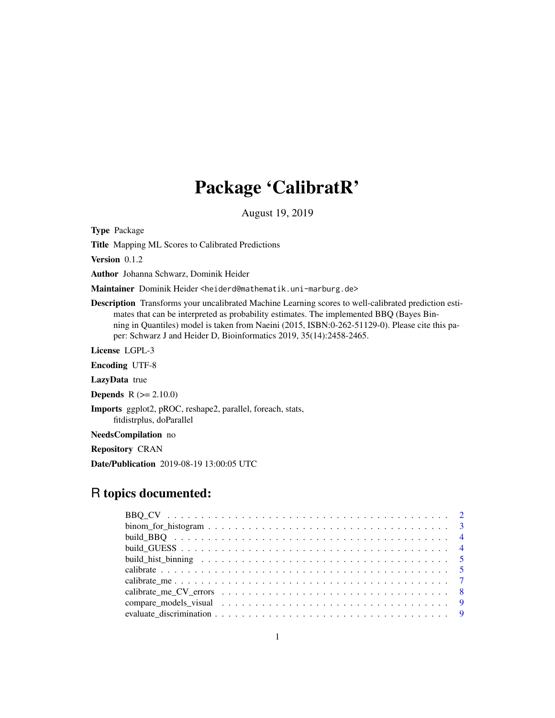# Package 'CalibratR'

August 19, 2019

<span id="page-0-0"></span>Type Package

Title Mapping ML Scores to Calibrated Predictions

Version 0.1.2

Author Johanna Schwarz, Dominik Heider

Maintainer Dominik Heider <heiderd@mathematik.uni-marburg.de>

Description Transforms your uncalibrated Machine Learning scores to well-calibrated prediction estimates that can be interpreted as probability estimates. The implemented BBQ (Bayes Binning in Quantiles) model is taken from Naeini (2015, ISBN:0-262-51129-0). Please cite this paper: Schwarz J and Heider D, Bioinformatics 2019, 35(14):2458-2465.

License LGPL-3

Encoding UTF-8

LazyData true

**Depends**  $R (= 2.10.0)$ 

Imports ggplot2, pROC, reshape2, parallel, foreach, stats, fitdistrplus, doParallel

NeedsCompilation no

Repository CRAN

Date/Publication 2019-08-19 13:00:05 UTC

# R topics documented:

| $binom_{\text{for\_histogram}}{3}$ . |  |
|--------------------------------------|--|
|                                      |  |
|                                      |  |
|                                      |  |
|                                      |  |
|                                      |  |
|                                      |  |
|                                      |  |
|                                      |  |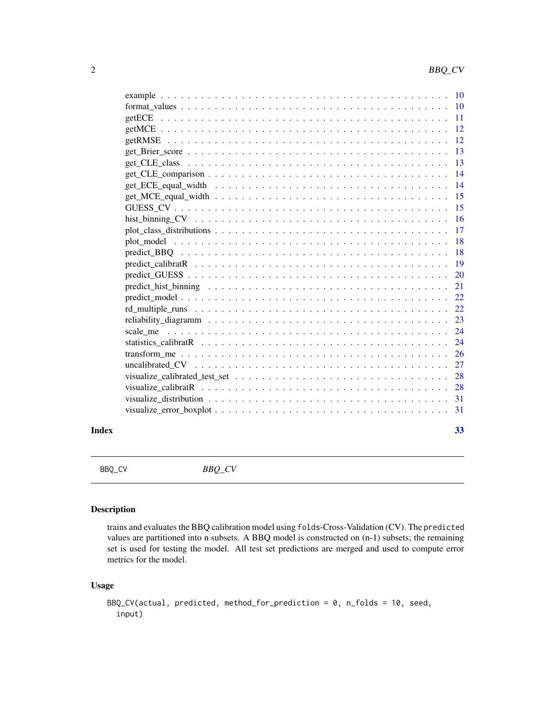<span id="page-1-0"></span>

| $\overline{10}$ |
|-----------------|
| 11              |
| 12              |
| 12              |
| 13              |
| 13              |
| 14              |
| 14              |
| 15              |
| 15              |
| 16              |
| 17              |
| 18              |
| 18              |
| 19              |
| 20              |
| 21              |
| 22              |
| 22              |
| 23              |
| 24              |
| 24              |
| 26              |
| 27              |
| 28              |
| 28              |
| 31              |
| 31              |
|                 |

#### **Index** [33](#page-32-0)

BBQ\_CV *BBQ\_CV*

# Description

trains and evaluates the BBQ calibration model using folds-Cross-Validation (CV). The predicted values are partitioned into n subsets. A BBQ model is constructed on (n-1) subsets; the remaining set is used for testing the model. All test set predictions are merged and used to compute error metrics for the model.

```
BBQ_CV(actual, predicted, method_for_prediction = 0, n_folds = 10, seed,
  input)
```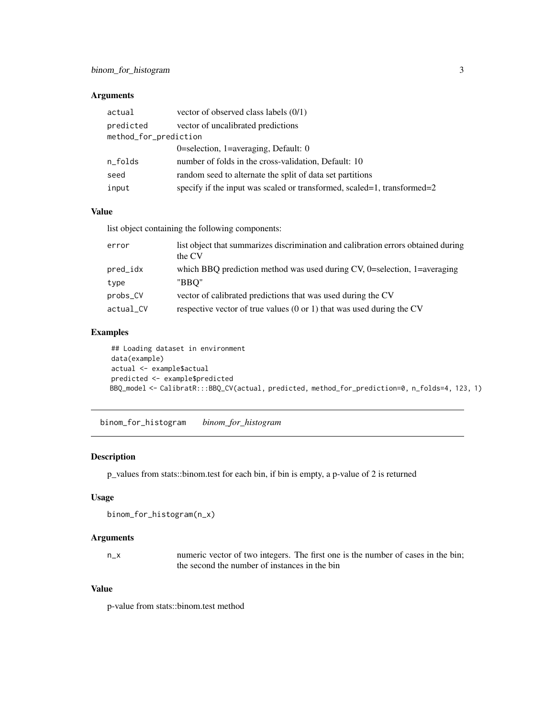## <span id="page-2-0"></span>Arguments

| actual                | vector of observed class labels (0/1)                                   |  |
|-----------------------|-------------------------------------------------------------------------|--|
| predicted             | vector of uncalibrated predictions                                      |  |
| method_for_prediction |                                                                         |  |
|                       | 0=selection, 1=averaging, Default: $0$                                  |  |
| n_folds               | number of folds in the cross-validation, Default: 10                    |  |
| seed                  | random seed to alternate the split of data set partitions               |  |
| input                 | specify if the input was scaled or transformed, scaled=1, transformed=2 |  |

#### Value

list object containing the following components:

| error     | list object that summarizes discrimination and calibration errors obtained during<br>the CV |
|-----------|---------------------------------------------------------------------------------------------|
| pred_idx  | which BBQ prediction method was used during CV, $0$ =selection, $1$ =averaging              |
| type      | "BBO"                                                                                       |
| probs_CV  | vector of calibrated predictions that was used during the CV                                |
| actual_CV | respective vector of true values $(0 \text{ or } 1)$ that was used during the CV            |

# Examples

## Loading dataset in environment data(example) actual <- example\$actual predicted <- example\$predicted BBQ\_model <- CalibratR:::BBQ\_CV(actual, predicted, method\_for\_prediction=0, n\_folds=4, 123, 1)

binom\_for\_histogram *binom\_for\_histogram*

#### Description

p\_values from stats::binom.test for each bin, if bin is empty, a p-value of 2 is returned

#### Usage

```
binom_for_histogram(n_x)
```
#### Arguments

n\_x numeric vector of two integers. The first one is the number of cases in the bin; the second the number of instances in the bin

# Value

p-value from stats::binom.test method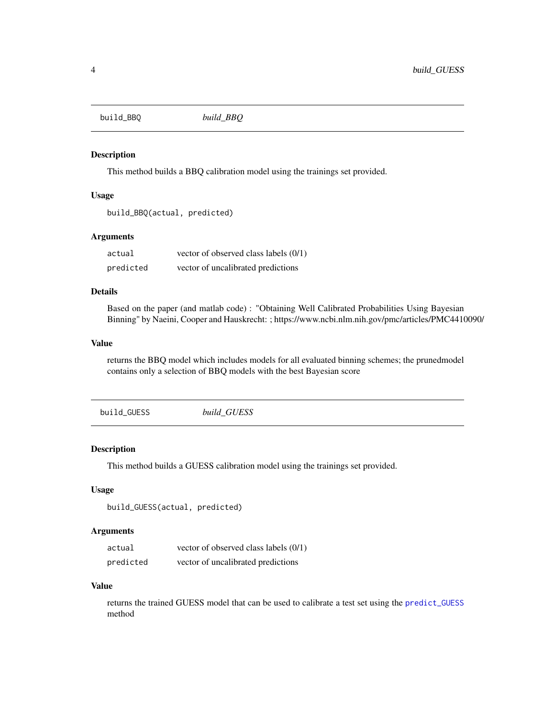<span id="page-3-1"></span><span id="page-3-0"></span>build\_BBQ *build\_BBQ*

#### Description

This method builds a BBQ calibration model using the trainings set provided.

#### Usage

```
build_BBQ(actual, predicted)
```
## Arguments

| actual    | vector of observed class labels (0/1) |
|-----------|---------------------------------------|
| predicted | vector of uncalibrated predictions    |

# Details

Based on the paper (and matlab code) : "Obtaining Well Calibrated Probabilities Using Bayesian Binning" by Naeini, Cooper and Hauskrecht: ; https://www.ncbi.nlm.nih.gov/pmc/articles/PMC4410090/

#### Value

returns the BBQ model which includes models for all evaluated binning schemes; the prunedmodel contains only a selection of BBQ models with the best Bayesian score

<span id="page-3-2"></span>

| build GUESS<br>build_GUESS |
|----------------------------|
|----------------------------|

# Description

This method builds a GUESS calibration model using the trainings set provided.

#### Usage

```
build_GUESS(actual, predicted)
```
#### Arguments

| actual    | vector of observed class labels (0/1) |
|-----------|---------------------------------------|
| predicted | vector of uncalibrated predictions    |

#### Value

returns the trained GUESS model that can be used to calibrate a test set using the [predict\\_GUESS](#page-19-1) method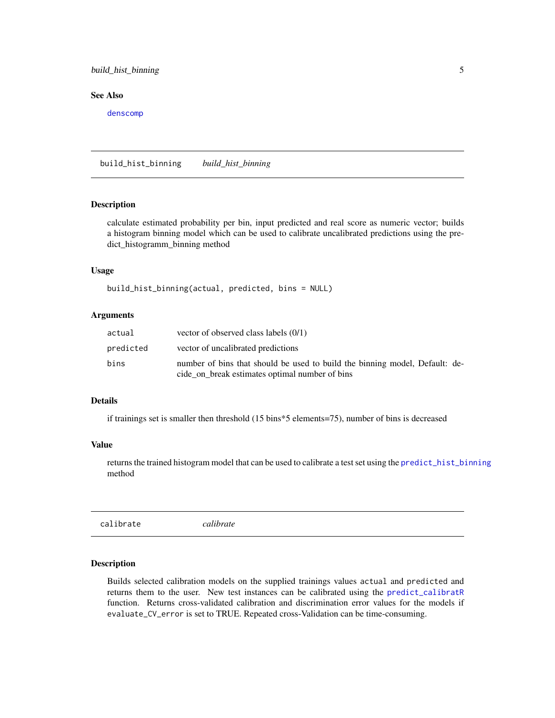# <span id="page-4-0"></span>build\_hist\_binning 5

# See Also

[denscomp](#page-0-0)

<span id="page-4-2"></span>build\_hist\_binning *build\_hist\_binning*

# Description

calculate estimated probability per bin, input predicted and real score as numeric vector; builds a histogram binning model which can be used to calibrate uncalibrated predictions using the predict\_histogramm\_binning method

#### Usage

build\_hist\_binning(actual, predicted, bins = NULL)

#### Arguments

| actual    | vector of observed class labels $(0/1)$                                                                                       |
|-----------|-------------------------------------------------------------------------------------------------------------------------------|
| predicted | vector of uncalibrated predictions                                                                                            |
| bins      | number of bins that should be used to build the binning model, Default: de-<br>cide_on_break estimates optimal number of bins |

## Details

if trainings set is smaller then threshold (15 bins\*5 elements=75), number of bins is decreased

## Value

returns the trained histogram model that can be used to calibrate a test set using the [predict\\_hist\\_binning](#page-20-1) method

<span id="page-4-1"></span>calibrate *calibrate*

# Description

Builds selected calibration models on the supplied trainings values actual and predicted and returns them to the user. New test instances can be calibrated using the [predict\\_calibratR](#page-18-1) function. Returns cross-validated calibration and discrimination error values for the models if evaluate\_CV\_error is set to TRUE. Repeated cross-Validation can be time-consuming.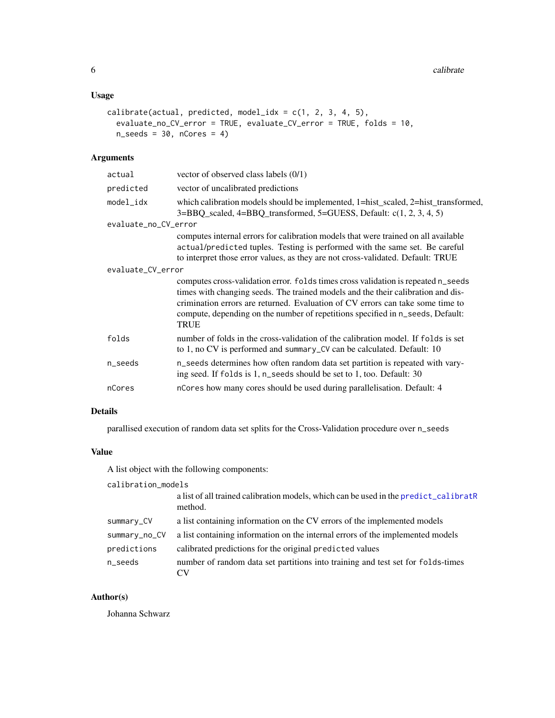# <span id="page-5-0"></span>Usage

```
calibrate(actual, predicted, model_idx = c(1, 2, 3, 4, 5),
  evaluate_no_CV_error = TRUE, evaluate_CV_error = TRUE, folds = 10,
 n\_seeds = 30, nCores = 4)
```
# Arguments

| actual               | vector of observed class labels (0/1)                                                                                                                                                                                                                                                                                                                    |  |
|----------------------|----------------------------------------------------------------------------------------------------------------------------------------------------------------------------------------------------------------------------------------------------------------------------------------------------------------------------------------------------------|--|
| predicted            | vector of uncalibrated predictions                                                                                                                                                                                                                                                                                                                       |  |
| model_idx            | which calibration models should be implemented, 1=hist_scaled, 2=hist_transformed,<br>3=BBQ_scaled, 4=BBQ_transformed, 5=GUESS, Default: c(1, 2, 3, 4, 5)                                                                                                                                                                                                |  |
| evaluate_no_CV_error |                                                                                                                                                                                                                                                                                                                                                          |  |
|                      | computes internal errors for calibration models that were trained on all available<br>actual/predicted tuples. Testing is performed with the same set. Be careful<br>to interpret those error values, as they are not cross-validated. Default: TRUE                                                                                                     |  |
| evaluate_CV_error    |                                                                                                                                                                                                                                                                                                                                                          |  |
|                      | computes cross-validation error. folds times cross validation is repeated n_seeds<br>times with changing seeds. The trained models and the their calibration and dis-<br>crimination errors are returned. Evaluation of CV errors can take some time to<br>compute, depending on the number of repetitions specified in n_seeds, Default:<br><b>TRUE</b> |  |
| folds                | number of folds in the cross-validation of the calibration model. If folds is set<br>to 1, no CV is performed and summary_CV can be calculated. Default: 10                                                                                                                                                                                              |  |
| n_seeds              | n_seeds determines how often random data set partition is repeated with vary-<br>ing seed. If folds is 1, n_seeds should be set to 1, too. Default: 30                                                                                                                                                                                                   |  |
| nCores               | nCores how many cores should be used during parallelisation. Default: 4                                                                                                                                                                                                                                                                                  |  |

## Details

parallised execution of random data set splits for the Cross-Validation procedure over n\_seeds

## Value

A list object with the following components:

# calibration\_models

|               | a list of all trained calibration models, which can be used in the predict_calibratR<br>method. |
|---------------|-------------------------------------------------------------------------------------------------|
| summary_CV    | a list containing information on the CV errors of the implemented models                        |
| summary_no_CV | a list containing information on the internal errors of the implemented models                  |
| predictions   | calibrated predictions for the original predicted values                                        |
| n_seeds       | number of random data set partitions into training and test set for folds-times                 |

# Author(s)

Johanna Schwarz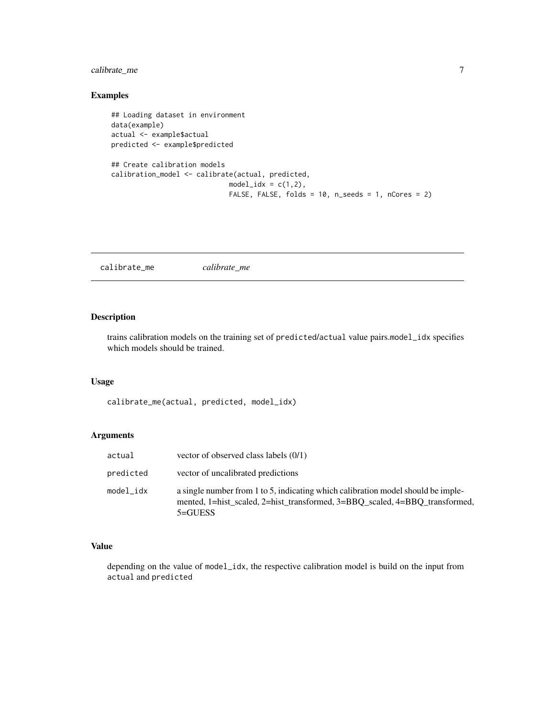# <span id="page-6-0"></span>calibrate\_me 7

# Examples

```
## Loading dataset in environment
data(example)
actual <- example$actual
predicted <- example$predicted
## Create calibration models
calibration_model <- calibrate(actual, predicted,
                             model\_idx = c(1,2),
                             FALSE, FALSE, folds = 10, n_seeds = 1, nCores = 2)
```
calibrate\_me *calibrate\_me*

# Description

trains calibration models on the training set of predicted/actual value pairs.model\_idx specifies which models should be trained.

# Usage

calibrate\_me(actual, predicted, model\_idx)

## Arguments

| actual    | vector of observed class labels $(0/1)$                                                                                                                                        |
|-----------|--------------------------------------------------------------------------------------------------------------------------------------------------------------------------------|
| predicted | vector of uncalibrated predictions                                                                                                                                             |
| model idx | a single number from 1 to 5, indicating which calibration model should be imple-<br>mented, 1=hist scaled, 2=hist transformed, 3=BBO scaled, 4=BBO transformed,<br>$5 = GUESS$ |

## Value

depending on the value of model\_idx, the respective calibration model is build on the input from actual and predicted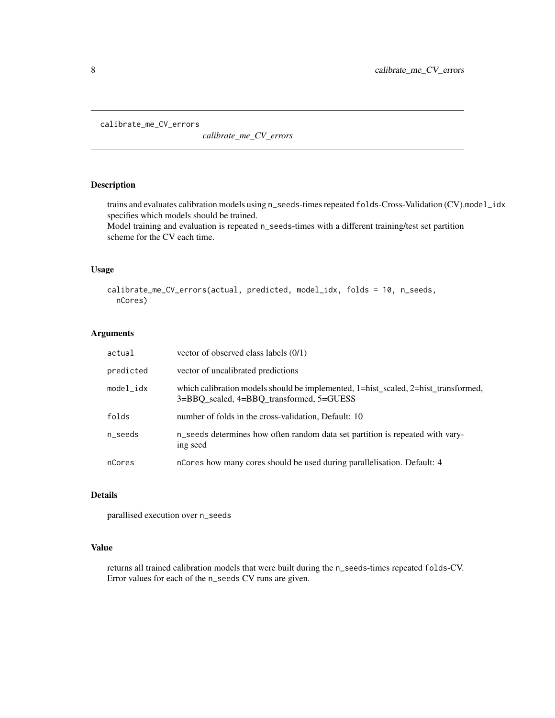<span id="page-7-0"></span>calibrate\_me\_CV\_errors

*calibrate\_me\_CV\_errors*

# Description

trains and evaluates calibration models using n\_seeds-times repeated folds-Cross-Validation (CV).model\_idx specifies which models should be trained.

Model training and evaluation is repeated n\_seeds-times with a different training/test set partition scheme for the CV each time.

# Usage

```
calibrate_me_CV_errors(actual, predicted, model_idx, folds = 10, n_seeds,
  nCores)
```
#### Arguments

| actual    | vector of observed class labels $(0/1)$                                                                                        |
|-----------|--------------------------------------------------------------------------------------------------------------------------------|
| predicted | vector of uncalibrated predictions                                                                                             |
| model_idx | which calibration models should be implemented, 1=hist_scaled, 2=hist_transformed,<br>3=BBO scaled, 4=BBO transformed, 5=GUESS |
| folds     | number of folds in the cross-validation, Default: 10                                                                           |
| n_seeds   | n_seeds determines how often random data set partition is repeated with vary-<br>ing seed                                      |
| nCores    | n Cores how many cores should be used during parallelisation. Default: 4                                                       |

# Details

parallised execution over n\_seeds

# Value

returns all trained calibration models that were built during the n\_seeds-times repeated folds-CV. Error values for each of the n\_seeds CV runs are given.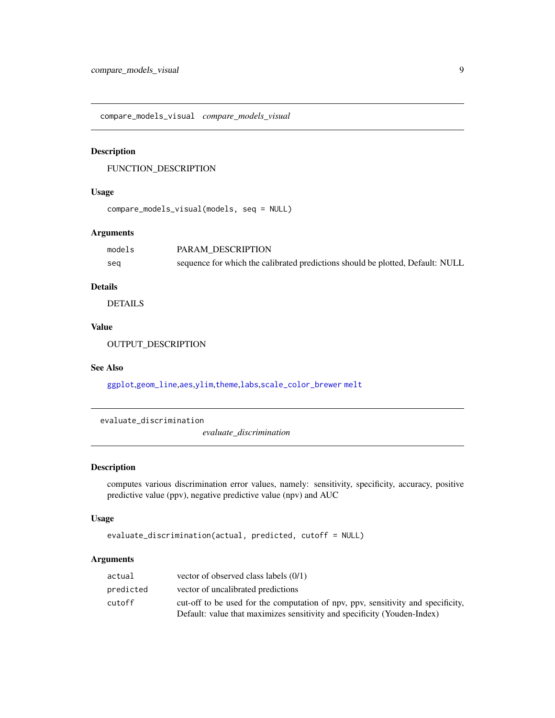<span id="page-8-1"></span><span id="page-8-0"></span>compare\_models\_visual *compare\_models\_visual*

## Description

FUNCTION\_DESCRIPTION

#### Usage

```
compare_models_visual(models, seq = NULL)
```
# Arguments

| models | PARAM DESCRIPTION                                                              |
|--------|--------------------------------------------------------------------------------|
| seq    | sequence for which the calibrated predictions should be plotted, Default: NULL |

## Details

DETAILS

## Value

OUTPUT\_DESCRIPTION

#### See Also

[ggplot](#page-0-0),[geom\\_line](#page-0-0),[aes](#page-0-0),[ylim](#page-0-0),[theme](#page-0-0),[labs](#page-0-0),[scale\\_color\\_brewer](#page-0-0) [melt](#page-0-0)

<span id="page-8-2"></span>evaluate\_discrimination

*evaluate\_discrimination*

## Description

computes various discrimination error values, namely: sensitivity, specificity, accuracy, positive predictive value (ppv), negative predictive value (npv) and AUC

## Usage

```
evaluate_discrimination(actual, predicted, cutoff = NULL)
```
# Arguments

| actual    | vector of observed class labels $(0/1)$                                          |
|-----------|----------------------------------------------------------------------------------|
| predicted | vector of uncalibrated predictions                                               |
| cutoff    | cut-off to be used for the computation of npv, ppv, sensitivity and specificity, |
|           | Default: value that maximizes sensitivity and specificity (Youden-Index)         |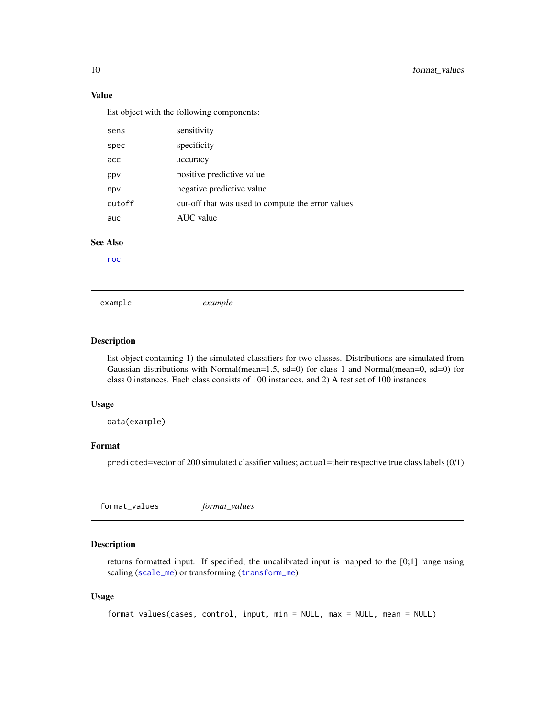# Value

list object with the following components:

| sens            | sensitivity                                       |
|-----------------|---------------------------------------------------|
| spec            | specificity                                       |
| acc             | accuracy                                          |
| ppv             | positive predictive value                         |
| npv             | negative predictive value                         |
| cutoff          | cut-off that was used to compute the error values |
| auc             | AUC value                                         |
| <b>See Also</b> |                                                   |
| roc             |                                                   |
|                 |                                                   |
|                 |                                                   |
| example         | example                                           |

#### Description

list object containing 1) the simulated classifiers for two classes. Distributions are simulated from Gaussian distributions with Normal(mean=1.5, sd=0) for class 1 and Normal(mean=0, sd=0) for class 0 instances. Each class consists of 100 instances. and 2) A test set of 100 instances

#### Usage

data(example)

## Format

predicted=vector of 200 simulated classifier values; actual=their respective true class labels (0/1)

format\_values *format\_values*

# Description

returns formatted input. If specified, the uncalibrated input is mapped to the [0;1] range using scaling ([scale\\_me](#page-23-1)) or transforming ([transform\\_me](#page-25-1))

```
format_values(cases, control, input, min = NULL, max = NULL, mean = NULL)
```
<span id="page-9-0"></span>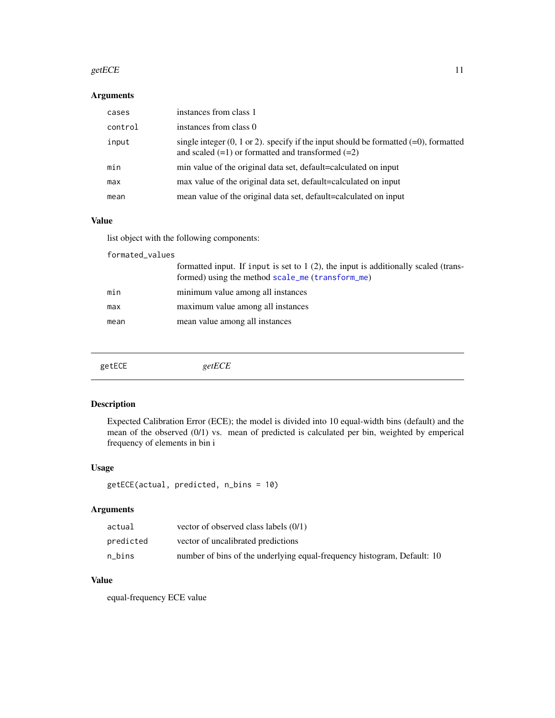#### <span id="page-10-0"></span>getECE  $\qquad \qquad$  11

# Arguments

| cases   | instances from class 1                                                                                                                                       |
|---------|--------------------------------------------------------------------------------------------------------------------------------------------------------------|
| control | instances from class 0                                                                                                                                       |
| input   | single integer $(0, 1 \text{ or } 2)$ . specify if the input should be formatted $(=0)$ , formatted<br>and scaled $(=1)$ or formatted and transformed $(=2)$ |
| min     | min value of the original data set, default=calculated on input                                                                                              |
| max     | max value of the original data set, default=calculated on input                                                                                              |
| mean    | mean value of the original data set, default=calculated on input                                                                                             |

# Value

list object with the following components:

| formated_values |                                                                                                                                           |  |
|-----------------|-------------------------------------------------------------------------------------------------------------------------------------------|--|
|                 | formatted input. If input is set to $1(2)$ , the input is additionally scaled (trans-<br>formed) using the method scale_me (transform_me) |  |
| min             | minimum value among all instances                                                                                                         |  |
| max             | maximum value among all instances                                                                                                         |  |
| mean            | mean value among all instances                                                                                                            |  |
|                 |                                                                                                                                           |  |

<span id="page-10-1"></span>

| getECE<br>getECE |
|------------------|
|------------------|

# Description

Expected Calibration Error (ECE); the model is divided into 10 equal-width bins (default) and the mean of the observed (0/1) vs. mean of predicted is calculated per bin, weighted by emperical frequency of elements in bin i

# Usage

```
getECE(actual, predicted, n_bins = 10)
```
# Arguments

| actual    | vector of observed class labels $(0/1)$                                 |
|-----------|-------------------------------------------------------------------------|
| predicted | vector of uncalibrated predictions                                      |
| n bins    | number of bins of the underlying equal-frequency histogram, Default: 10 |

# Value

equal-frequency ECE value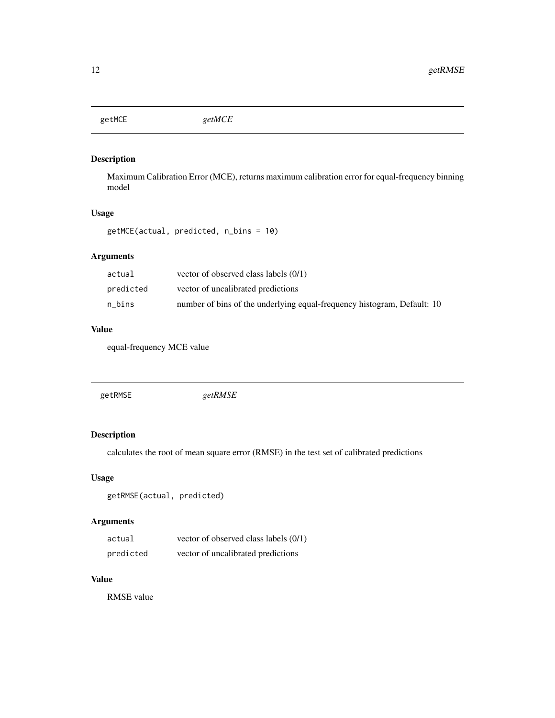<span id="page-11-1"></span><span id="page-11-0"></span>getMCE *getMCE*

# Description

Maximum Calibration Error (MCE), returns maximum calibration error for equal-frequency binning model

# Usage

getMCE(actual, predicted, n\_bins = 10)

# Arguments

| actual    | vector of observed class labels $(0/1)$                                 |
|-----------|-------------------------------------------------------------------------|
| predicted | vector of uncalibrated predictions                                      |
| n bins    | number of bins of the underlying equal-frequency histogram, Default: 10 |

# Value

equal-frequency MCE value

<span id="page-11-2"></span>

|--|--|

# Description

calculates the root of mean square error (RMSE) in the test set of calibrated predictions

# Usage

getRMSE(actual, predicted)

# Arguments

| actual    | vector of observed class labels (0/1) |
|-----------|---------------------------------------|
| predicted | vector of uncalibrated predictions    |

# Value

RMSE value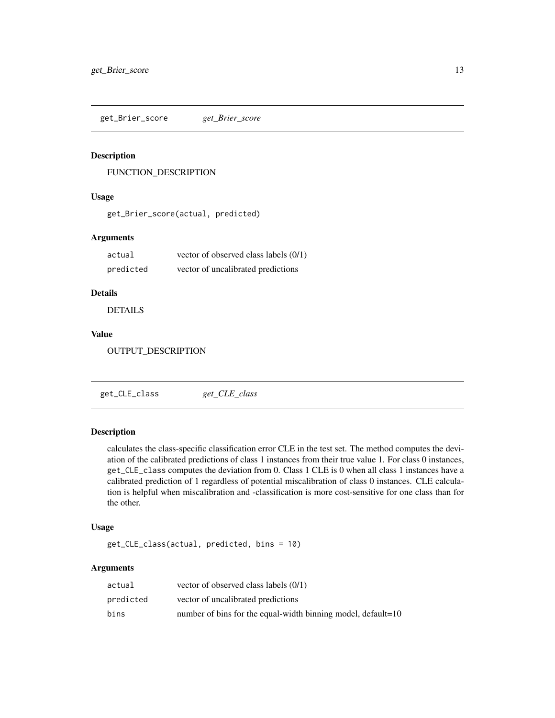<span id="page-12-0"></span>get\_Brier\_score *get\_Brier\_score*

# Description

FUNCTION\_DESCRIPTION

## Usage

get\_Brier\_score(actual, predicted)

# Arguments

| actual    | vector of observed class labels (0/1) |
|-----------|---------------------------------------|
| predicted | vector of uncalibrated predictions    |

## Details

DETAILS

# Value

OUTPUT\_DESCRIPTION

<span id="page-12-1"></span>get\_CLE\_class *get\_CLE\_class*

# Description

calculates the class-specific classification error CLE in the test set. The method computes the deviation of the calibrated predictions of class 1 instances from their true value 1. For class 0 instances, get\_CLE\_class computes the deviation from 0. Class 1 CLE is 0 when all class 1 instances have a calibrated prediction of 1 regardless of potential miscalibration of class 0 instances. CLE calculation is helpful when miscalibration and -classification is more cost-sensitive for one class than for the other.

### Usage

get\_CLE\_class(actual, predicted, bins = 10)

# Arguments

| actual    | vector of observed class labels $(0/1)$                      |
|-----------|--------------------------------------------------------------|
| predicted | vector of uncalibrated predictions                           |
| bins      | number of bins for the equal-width binning model, default=10 |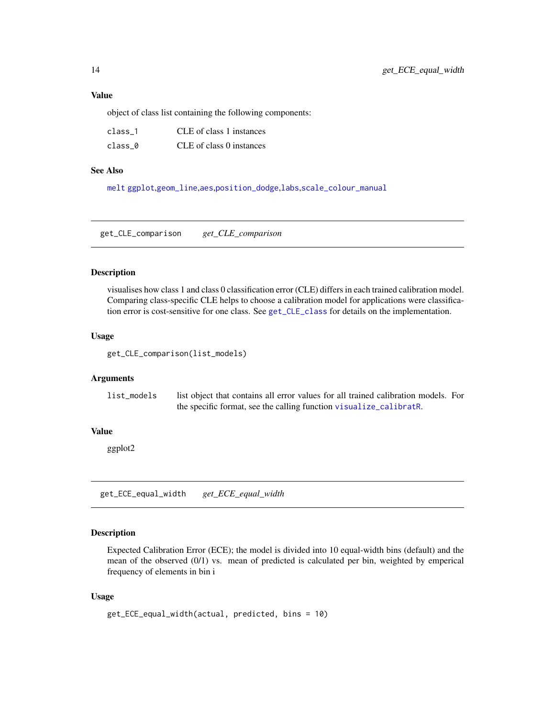<span id="page-13-0"></span>object of class list containing the following components:

| class 1 | CLE of class 1 instances |
|---------|--------------------------|
| class 0 | CLE of class 0 instances |

## See Also

[melt](#page-0-0) [ggplot](#page-0-0),[geom\\_line](#page-0-0),[aes](#page-0-0),[position\\_dodge](#page-0-0),[labs](#page-0-0),[scale\\_colour\\_manual](#page-0-0)

get\_CLE\_comparison *get\_CLE\_comparison*

#### Description

visualises how class 1 and class 0 classification error (CLE) differs in each trained calibration model. Comparing class-specific CLE helps to choose a calibration model for applications were classification error is cost-sensitive for one class. See [get\\_CLE\\_class](#page-12-1) for details on the implementation.

#### Usage

get\_CLE\_comparison(list\_models)

## Arguments

```
list_models list object that contains all error values for all trained calibration models. For
                  the specific format, see the calling function visualize_calibratR.
```
## Value

ggplot2

get\_ECE\_equal\_width *get\_ECE\_equal\_width*

# Description

Expected Calibration Error (ECE); the model is divided into 10 equal-width bins (default) and the mean of the observed (0/1) vs. mean of predicted is calculated per bin, weighted by emperical frequency of elements in bin i

```
get_ECE_equal_width(actual, predicted, bins = 10)
```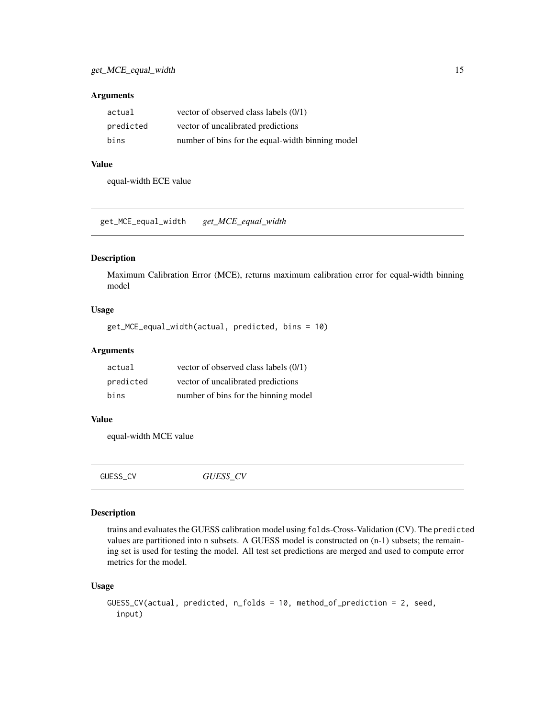## <span id="page-14-0"></span>Arguments

| actual    | vector of observed class labels $(0/1)$          |
|-----------|--------------------------------------------------|
| predicted | vector of uncalibrated predictions               |
| bins      | number of bins for the equal-width binning model |

# Value

equal-width ECE value

get\_MCE\_equal\_width *get\_MCE\_equal\_width*

#### Description

Maximum Calibration Error (MCE), returns maximum calibration error for equal-width binning model

# Usage

```
get_MCE_equal_width(actual, predicted, bins = 10)
```
# Arguments

| actual    | vector of observed class labels (0/1) |
|-----------|---------------------------------------|
| predicted | vector of uncalibrated predictions    |
| bins      | number of bins for the binning model  |

#### Value

equal-width MCE value

GUESS\_CV *GUESS\_CV*

#### Description

trains and evaluates the GUESS calibration model using folds-Cross-Validation (CV). The predicted values are partitioned into n subsets. A GUESS model is constructed on (n-1) subsets; the remaining set is used for testing the model. All test set predictions are merged and used to compute error metrics for the model.

```
GUESS_CV(actual, predicted, n_folds = 10, method_of_prediction = 2, seed,
  input)
```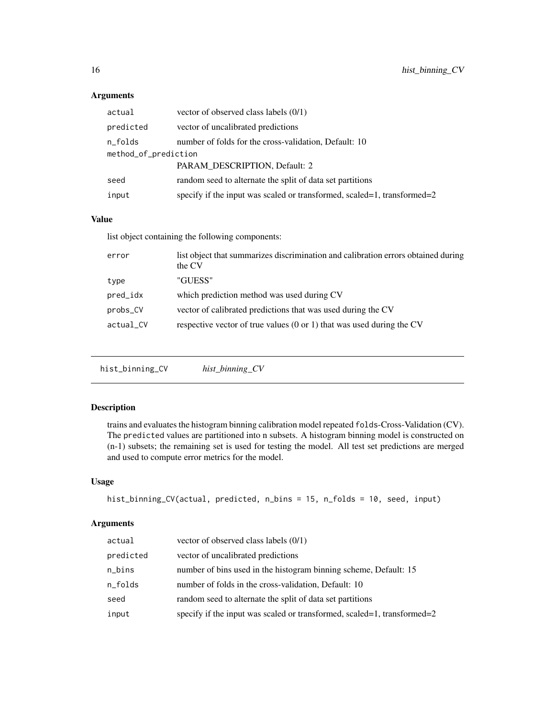# Arguments

| actual               | vector of observed class labels $(0/1)$                                 |  |
|----------------------|-------------------------------------------------------------------------|--|
| predicted            | vector of uncalibrated predictions                                      |  |
| n_folds              | number of folds for the cross-validation, Default: 10                   |  |
| method_of_prediction |                                                                         |  |
|                      | PARAM DESCRIPTION, Default: 2                                           |  |
| seed                 | random seed to alternate the split of data set partitions               |  |
| input                | specify if the input was scaled or transformed, scaled=1, transformed=2 |  |

# Value

list object containing the following components:

| error     | list object that summarizes discrimination and calibration errors obtained during<br>the CV |
|-----------|---------------------------------------------------------------------------------------------|
| type      | "GUESS"                                                                                     |
| pred_idx  | which prediction method was used during CV                                                  |
| probs_CV  | vector of calibrated predictions that was used during the CV                                |
| actual_CV | respective vector of true values $(0 \text{ or } 1)$ that was used during the CV            |
|           |                                                                                             |

hist\_binning\_CV *hist\_binning\_CV*

# Description

trains and evaluates the histogram binning calibration model repeated folds-Cross-Validation (CV). The predicted values are partitioned into n subsets. A histogram binning model is constructed on (n-1) subsets; the remaining set is used for testing the model. All test set predictions are merged and used to compute error metrics for the model.

# Usage

```
hist_binning_CV(actual, predicted, n_bins = 15, n_folds = 10, seed, input)
```
# Arguments

| actual    | vector of observed class labels $(0/1)$                                 |
|-----------|-------------------------------------------------------------------------|
| predicted | vector of uncalibrated predictions                                      |
| n_bins    | number of bins used in the histogram binning scheme, Default: 15        |
| n_folds   | number of folds in the cross-validation, Default: 10                    |
| seed      | random seed to alternate the split of data set partitions               |
| input     | specify if the input was scaled or transformed, scaled=1, transformed=2 |

<span id="page-15-0"></span>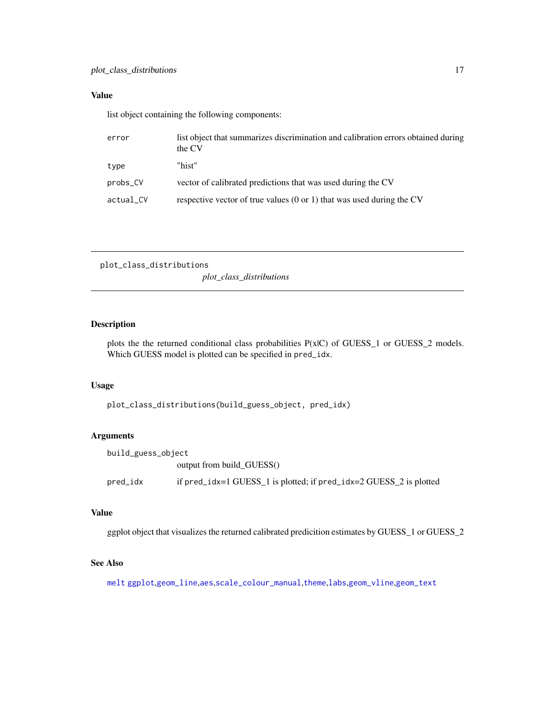# <span id="page-16-0"></span>Value

list object containing the following components:

| error     | list object that summarizes discrimination and calibration errors obtained during<br>the CV |
|-----------|---------------------------------------------------------------------------------------------|
| type      | "hist"                                                                                      |
| probs_CV  | vector of calibrated predictions that was used during the CV                                |
| actual_CV | respective vector of true values $(0 \text{ or } 1)$ that was used during the CV            |

```
plot_class_distributions
```
*plot\_class\_distributions*

# Description

plots the the returned conditional class probabilities P(x|C) of GUESS\_1 or GUESS\_2 models. Which GUESS model is plotted can be specified in pred\_idx.

# Usage

plot\_class\_distributions(build\_guess\_object, pred\_idx)

# Arguments

| build_guess_object |                                                                    |
|--------------------|--------------------------------------------------------------------|
|                    | output from build GUESS()                                          |
| pred_idx           | if pred_idx=1 GUESS_1 is plotted; if pred_idx=2 GUESS_2 is plotted |

# Value

ggplot object that visualizes the returned calibrated predicition estimates by GUESS\_1 or GUESS\_2

# See Also

[melt](#page-0-0) [ggplot](#page-0-0),[geom\\_line](#page-0-0),[aes](#page-0-0),[scale\\_colour\\_manual](#page-0-0),[theme](#page-0-0),[labs](#page-0-0),[geom\\_vline](#page-0-0),[geom\\_text](#page-0-0)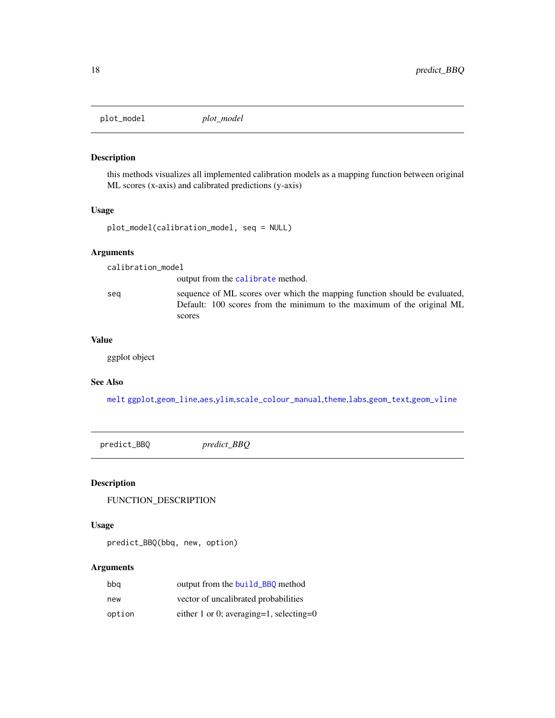<span id="page-17-1"></span><span id="page-17-0"></span>

#### Description

this methods visualizes all implemented calibration models as a mapping function between original ML scores (x-axis) and calibrated predictions (y-axis)

#### Usage

plot\_model(calibration\_model, seq = NULL)

# Arguments

calibration\_model

output from the [calibrate](#page-4-1) method.

seq sequence of ML scores over which the mapping function should be evaluated, Default: 100 scores from the minimum to the maximum of the original ML scores

## Value

ggplot object

# See Also

[melt](#page-0-0) [ggplot](#page-0-0),[geom\\_line](#page-0-0),[aes](#page-0-0),[ylim](#page-0-0),[scale\\_colour\\_manual](#page-0-0),[theme](#page-0-0),[labs](#page-0-0),[geom\\_text](#page-0-0),[geom\\_vline](#page-0-0)

predict\_BBQ *predict\_BBQ*

# Description

FUNCTION\_DESCRIPTION

# Usage

predict\_BBQ(bbq, new, option)

# Arguments

| bbq    | output from the build_BBO method        |
|--------|-----------------------------------------|
| new    | vector of uncalibrated probabilities    |
| option | either 1 or 0; averaging=1, selecting=0 |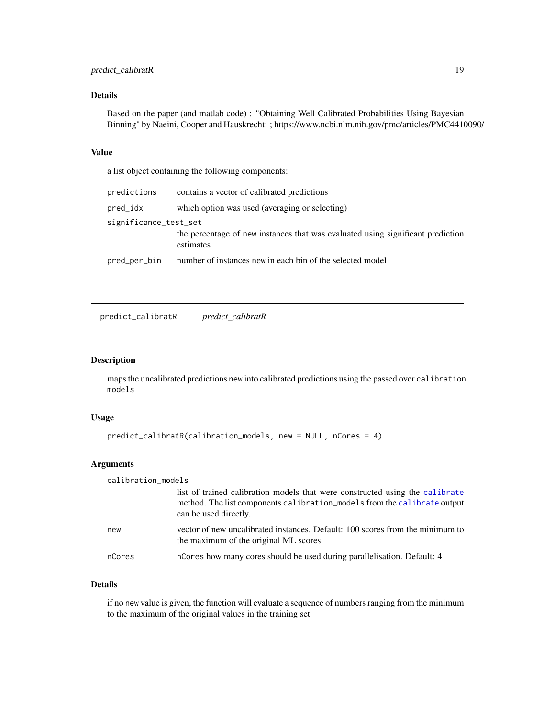# <span id="page-18-0"></span>Details

Based on the paper (and matlab code) : "Obtaining Well Calibrated Probabilities Using Bayesian Binning" by Naeini, Cooper and Hauskrecht: ; https://www.ncbi.nlm.nih.gov/pmc/articles/PMC4410090/

#### Value

a list object containing the following components:

| predictions           | contains a vector of calibrated predictions                                                  |
|-----------------------|----------------------------------------------------------------------------------------------|
| pred_idx              | which option was used (averaging or selecting)                                               |
| significance_test_set |                                                                                              |
|                       | the percentage of new instances that was evaluated using significant prediction<br>estimates |
| pred_per_bin          | number of instances new in each bin of the selected model                                    |

<span id="page-18-1"></span>predict\_calibratR *predict\_calibratR*

#### Description

maps the uncalibrated predictions new into calibrated predictions using the passed over calibration models

#### Usage

```
predict_calibratR(calibration_models, new = NULL, nCores = 4)
```
# Arguments

| calibration_models |                                                                                                                                                                                   |
|--------------------|-----------------------------------------------------------------------------------------------------------------------------------------------------------------------------------|
|                    | list of trained calibration models that were constructed using the calibrate<br>method. The list components calibration_models from the calibrate output<br>can be used directly. |
| new                | vector of new uncalibrated instances. Default: 100 scores from the minimum to<br>the maximum of the original ML scores                                                            |
| nCores             | ncores how many cores should be used during parallelisation. Default: 4                                                                                                           |

# Details

if no new value is given, the function will evaluate a sequence of numbers ranging from the minimum to the maximum of the original values in the training set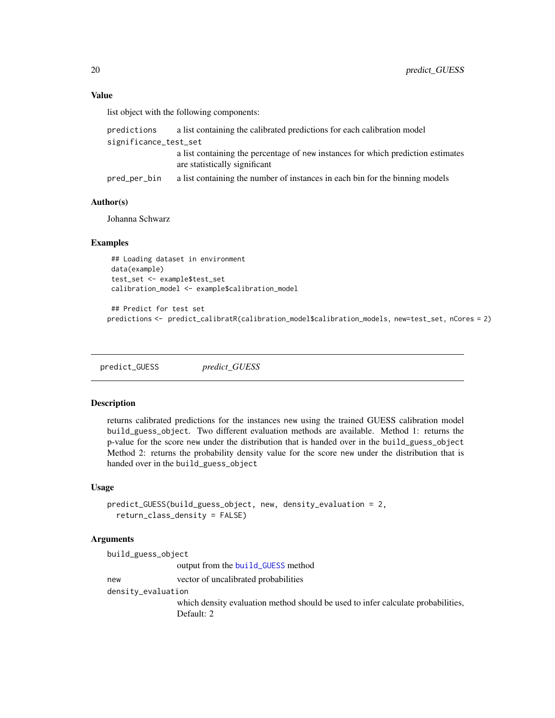## Value

list object with the following components:

| predictions           | a list containing the calibrated predictions for each calibration model                                           |
|-----------------------|-------------------------------------------------------------------------------------------------------------------|
| significance_test_set |                                                                                                                   |
|                       | a list containing the percentage of new instances for which prediction estimates<br>are statistically significant |
| pred_per_bin_         | a list containing the number of instances in each bin for the binning models                                      |

# Author(s)

Johanna Schwarz

#### Examples

## Loading dataset in environment data(example) test\_set <- example\$test\_set calibration\_model <- example\$calibration\_model

```
## Predict for test set
predictions <- predict_calibratR(calibration_model$calibration_models, new=test_set, nCores = 2)
```
<span id="page-19-1"></span>predict\_GUESS *predict\_GUESS*

# Description

returns calibrated predictions for the instances new using the trained GUESS calibration model build\_guess\_object. Two different evaluation methods are available. Method 1: returns the p-value for the score new under the distribution that is handed over in the build\_guess\_object Method 2: returns the probability density value for the score new under the distribution that is handed over in the build\_guess\_object

#### Usage

```
predict_GUESS(build_guess_object, new, density_evaluation = 2,
  return_class_density = FALSE)
```
# Arguments

| build_guess_object |                                                                                  |
|--------------------|----------------------------------------------------------------------------------|
|                    | output from the build_GUESS method                                               |
| new                | vector of uncalibrated probabilities                                             |
| density_evaluation |                                                                                  |
|                    | which density evaluation method should be used to infer calculate probabilities, |
|                    | Default: 2                                                                       |

<span id="page-19-0"></span>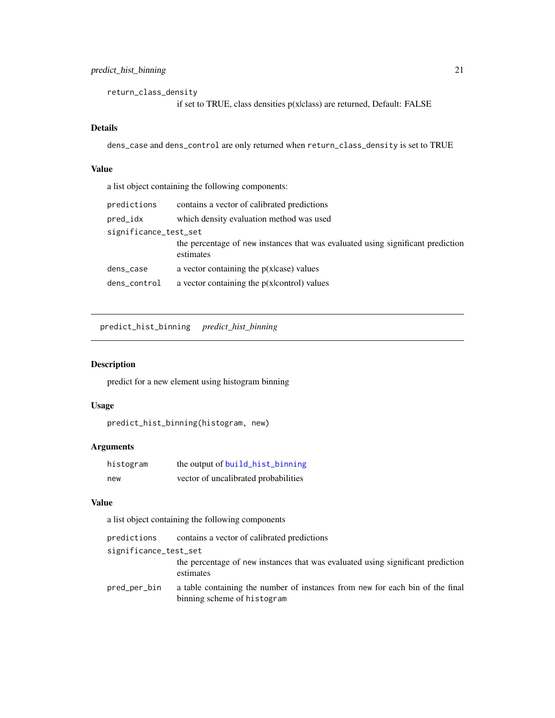<span id="page-20-0"></span>return\_class\_density if set to TRUE, class densities p(x|class) are returned, Default: FALSE

## Details

dens\_case and dens\_control are only returned when return\_class\_density is set to TRUE

## Value

a list object containing the following components:

| predictions           | contains a vector of calibrated predictions                                                  |  |
|-----------------------|----------------------------------------------------------------------------------------------|--|
| pred_idx              | which density evaluation method was used                                                     |  |
| significance_test_set |                                                                                              |  |
|                       | the percentage of new instances that was evaluated using significant prediction<br>estimates |  |
| dens_case             | a vector containing the $p(x case)$ values                                                   |  |
| dens_control          | a vector containing the $p(x control)$ values                                                |  |

<span id="page-20-1"></span>predict\_hist\_binning *predict\_hist\_binning*

# Description

predict for a new element using histogram binning

# Usage

```
predict_hist_binning(histogram, new)
```
# Arguments

| histogram | the output of build_hist_binning     |
|-----------|--------------------------------------|
| new       | vector of uncalibrated probabilities |

#### Value

a list object containing the following components

| predictions           | contains a vector of calibrated predictions                                                                  |
|-----------------------|--------------------------------------------------------------------------------------------------------------|
| significance_test_set |                                                                                                              |
|                       | the percentage of new instances that was evaluated using significant prediction<br>estimates                 |
| pred_per_bin_         | a table containing the number of instances from new for each bin of the final<br>binning scheme of histogram |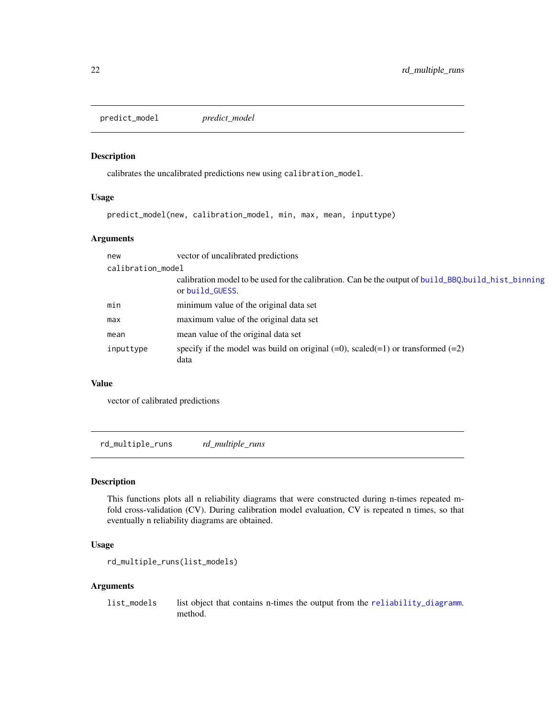<span id="page-21-0"></span>predict\_model *predict\_model*

# Description

calibrates the uncalibrated predictions new using calibration\_model.

#### Usage

```
predict_model(new, calibration_model, min, max, mean, inputtype)
```
# Arguments

| new       | vector of uncalibrated predictions                                                                                     |  |  |
|-----------|------------------------------------------------------------------------------------------------------------------------|--|--|
|           | calibration_model                                                                                                      |  |  |
|           | calibration model to be used for the calibration. Can be the output of build_BBQ,build_hist_binning<br>or build_GUESS. |  |  |
| min       | minimum value of the original data set                                                                                 |  |  |
| max       | maximum value of the original data set                                                                                 |  |  |
| mean      | mean value of the original data set                                                                                    |  |  |
| inputtype | specify if the model was build on original $(=0)$ , scaled $(=1)$ or transformed $(=2)$<br>data                        |  |  |

# Value

vector of calibrated predictions

rd\_multiple\_runs *rd\_multiple\_runs*

# Description

This functions plots all n reliability diagrams that were constructed during n-times repeated mfold cross-validation (CV). During calibration model evaluation, CV is repeated n times, so that eventually n reliability diagrams are obtained.

## Usage

```
rd_multiple_runs(list_models)
```
#### Arguments

list\_models list object that contains n-times the output from the [reliability\\_diagramm](#page-22-1). method.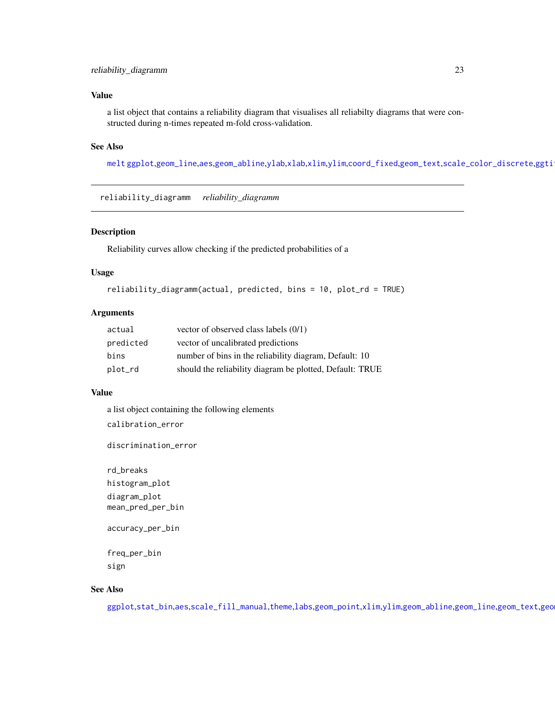## <span id="page-22-0"></span>Value

a list object that contains a reliability diagram that visualises all reliabilty diagrams that were constructed during n-times repeated m-fold cross-validation.

# See Also

[melt](#page-0-0) [ggplot](#page-0-0),[geom\\_line](#page-0-0),[aes](#page-0-0),[geom\\_abline](#page-0-0),[ylab](#page-0-0),[xlab](#page-0-0),[xlim](#page-0-0),[ylim](#page-0-0),[coord\\_fixed](#page-0-0),[geom\\_text](#page-0-0),[scale\\_color\\_discrete](#page-0-0),ggti

<span id="page-22-1"></span>reliability\_diagramm *reliability\_diagramm*

#### Description

Reliability curves allow checking if the predicted probabilities of a

#### Usage

```
reliability_diagramm(actual, predicted, bins = 10, plot_rd = TRUE)
```
#### Arguments

| actual    | vector of observed class labels $(0/1)$                  |
|-----------|----------------------------------------------------------|
| predicted | vector of uncalibrated predictions                       |
| bins      | number of bins in the reliability diagram, Default: 10   |
| plot_rd   | should the reliability diagram be plotted, Default: TRUE |

#### Value

a list object containing the following elements calibration\_error

discrimination\_error

rd\_breaks histogram\_plot diagram\_plot mean\_pred\_per\_bin

accuracy\_per\_bin

freq\_per\_bin sign

## See Also

[ggplot](#page-0-0),[stat\\_bin](#page-0-0),[aes](#page-0-0),[scale\\_fill\\_manual](#page-0-0),[theme](#page-0-0),[labs](#page-0-0),[geom\\_point](#page-0-0),[xlim](#page-0-0),[ylim](#page-0-0),[geom\\_abline](#page-0-0),[geom\\_line](#page-0-0),[geom\\_text](#page-0-0),geo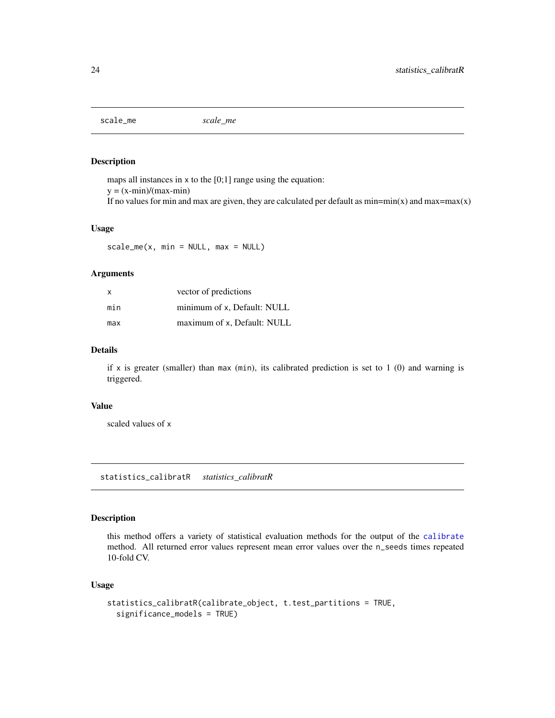<span id="page-23-1"></span><span id="page-23-0"></span>scale\_me *scale\_me*

#### Description

maps all instances in x to the [0;1] range using the equation:  $y = (x-min)/(max-min)$ If no values for min and max are given, they are calculated per default as  $min = min(x)$  and  $max = max(x)$ 

#### Usage

 $scale_mex, min = NULL, max = NULL)$ 

# Arguments

| X   | vector of predictions       |
|-----|-----------------------------|
| min | minimum of x, Default: NULL |
| max | maximum of x, Default: NULL |

## Details

if x is greater (smaller) than max (min), its calibrated prediction is set to  $1$  (0) and warning is triggered.

#### Value

scaled values of x

statistics\_calibratR *statistics\_calibratR*

# Description

this method offers a variety of statistical evaluation methods for the output of the [calibrate](#page-4-1) method. All returned error values represent mean error values over the n\_seeds times repeated 10-fold CV.

```
statistics_calibratR(calibrate_object, t.test_partitions = TRUE,
  significance_models = TRUE)
```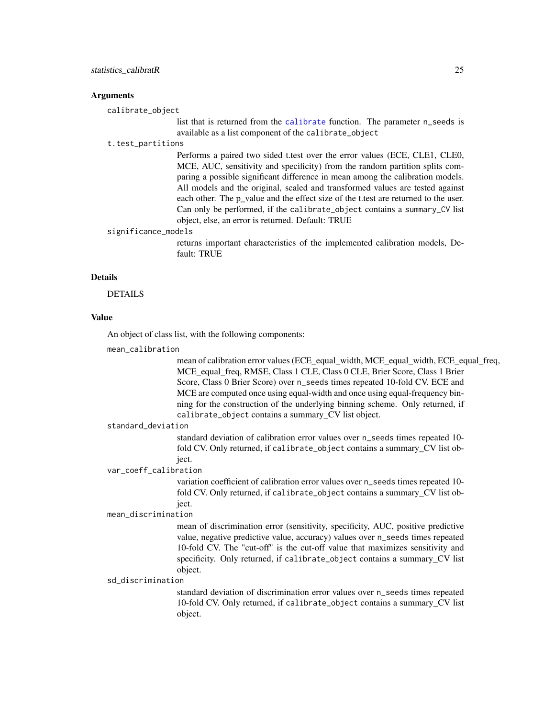#### <span id="page-24-0"></span>Arguments

calibrate\_object

list that is returned from the [calibrate](#page-4-1) function. The parameter n\_seeds is available as a list component of the calibrate\_object

#### t.test\_partitions

Performs a paired two sided t.test over the error values (ECE, CLE1, CLE0, MCE, AUC, sensitivity and specificity) from the random partition splits comparing a possible significant difference in mean among the calibration models. All models and the original, scaled and transformed values are tested against each other. The p\_value and the effect size of the t.test are returned to the user. Can only be performed, if the calibrate\_object contains a summary\_CV list object, else, an error is returned. Default: TRUE

#### significance\_models

returns important characteristics of the implemented calibration models, Default: TRUE

#### Details

DETAILS

#### Value

An object of class list, with the following components:

mean\_calibration

mean of calibration error values (ECE equal width, MCE equal width, ECE equal freq, MCE\_equal\_freq, RMSE, Class 1 CLE, Class 0 CLE, Brier Score, Class 1 Brier Score, Class 0 Brier Score) over n\_seeds times repeated 10-fold CV. ECE and MCE are computed once using equal-width and once using equal-frequency binning for the construction of the underlying binning scheme. Only returned, if calibrate\_object contains a summary\_CV list object.

#### standard\_deviation

standard deviation of calibration error values over n\_seeds times repeated 10 fold CV. Only returned, if calibrate\_object contains a summary\_CV list object.

var\_coeff\_calibration

variation coefficient of calibration error values over n\_seeds times repeated 10 fold CV. Only returned, if calibrate\_object contains a summary\_CV list object.

mean\_discrimination

mean of discrimination error (sensitivity, specificity, AUC, positive predictive value, negative predictive value, accuracy) values over n\_seeds times repeated 10-fold CV. The "cut-off" is the cut-off value that maximizes sensitivity and specificity. Only returned, if calibrate\_object contains a summary\_CV list object.

#### sd\_discrimination

standard deviation of discrimination error values over n\_seeds times repeated 10-fold CV. Only returned, if calibrate\_object contains a summary\_CV list object.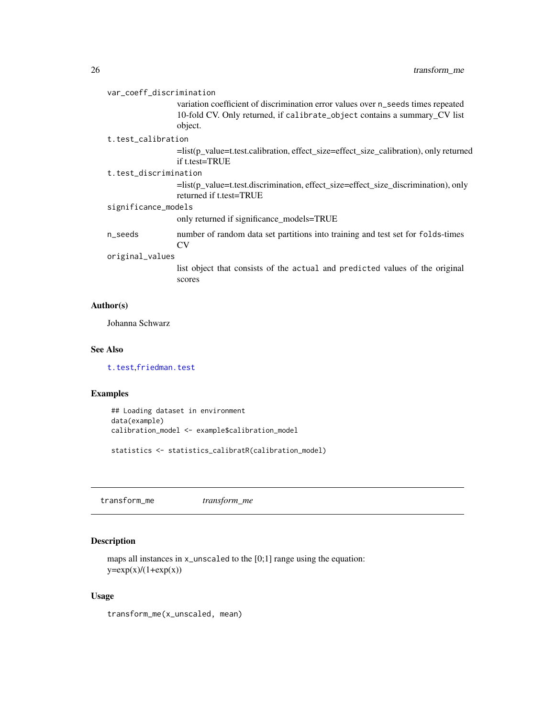<span id="page-25-0"></span>

| var_coeff_discrimination | variation coefficient of discrimination error values over n_seeds times repeated<br>10-fold CV. Only returned, if calibrate_object contains a summary_CV list<br>object. |
|--------------------------|--------------------------------------------------------------------------------------------------------------------------------------------------------------------------|
| t.test calibration       |                                                                                                                                                                          |
|                          | =list(p_value=t.test.calibration, effect_size=effect_size_calibration), only returned<br>if t.test=TRUE                                                                  |
| t.test discrimination    |                                                                                                                                                                          |
|                          | =list(p_value=t.test.discrimination, effect_size=effect_size_discrimination), only<br>returned if t.test=TRUE                                                            |
| significance_models      |                                                                                                                                                                          |
|                          | only returned if significance models=TRUE                                                                                                                                |
| n_seeds                  | number of random data set partitions into training and test set for folds-times<br><b>CV</b>                                                                             |
| original_values          |                                                                                                                                                                          |
|                          | list object that consists of the actual and predicted values of the original<br>scores                                                                                   |

# Author(s)

Johanna Schwarz

# See Also

[t.test](#page-0-0),[friedman.test](#page-0-0)

# Examples

## Loading dataset in environment data(example) calibration\_model <- example\$calibration\_model

statistics <- statistics\_calibratR(calibration\_model)

<span id="page-25-1"></span>transform\_me *transform\_me*

# Description

maps all instances in  $x$ -unscaled to the [0;1] range using the equation:  $y=exp(x)/(1+exp(x))$ 

# Usage

transform\_me(x\_unscaled, mean)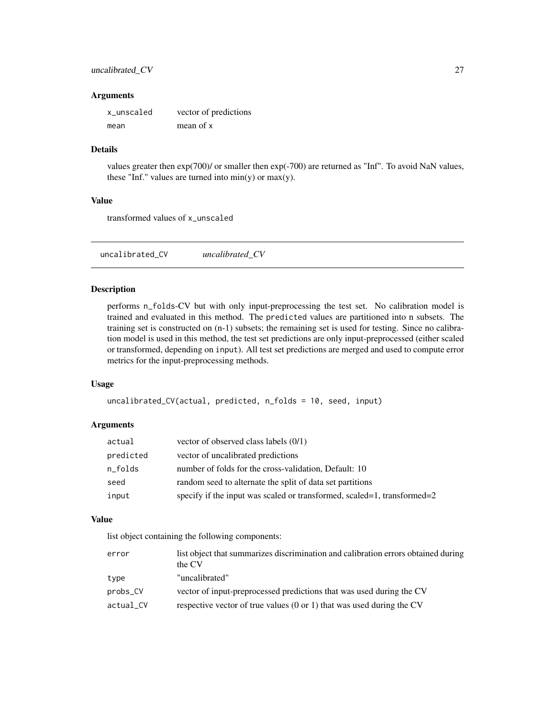## <span id="page-26-0"></span>uncalibrated\_CV 27

#### **Arguments**

| x_unscaled | vector of predictions |
|------------|-----------------------|
| mean       | mean of x             |

## Details

values greater then exp(700)/ or smaller then exp(-700) are returned as "Inf". To avoid NaN values, these "Inf." values are turned into  $min(y)$  or  $max(y)$ .

#### Value

transformed values of x\_unscaled

uncalibrated\_CV *uncalibrated\_CV*

#### Description

performs n\_folds-CV but with only input-preprocessing the test set. No calibration model is trained and evaluated in this method. The predicted values are partitioned into n subsets. The training set is constructed on (n-1) subsets; the remaining set is used for testing. Since no calibration model is used in this method, the test set predictions are only input-preprocessed (either scaled or transformed, depending on input). All test set predictions are merged and used to compute error metrics for the input-preprocessing methods.

#### Usage

```
uncalibrated_CV(actual, predicted, n_folds = 10, seed, input)
```
# Arguments

| actual    | vector of observed class labels $(0/1)$                                 |
|-----------|-------------------------------------------------------------------------|
| predicted | vector of uncalibrated predictions                                      |
| n_folds   | number of folds for the cross-validation, Default: 10                   |
| seed      | random seed to alternate the split of data set partitions               |
| input     | specify if the input was scaled or transformed, scaled=1, transformed=2 |

#### Value

list object containing the following components:

| error     | list object that summarizes discrimination and calibration errors obtained during<br>the CV |
|-----------|---------------------------------------------------------------------------------------------|
| type      | "uncalibrated"                                                                              |
| probs_CV  | vector of input-preprocessed predictions that was used during the CV                        |
| actual CV | respective vector of true values $(0 \text{ or } 1)$ that was used during the CV            |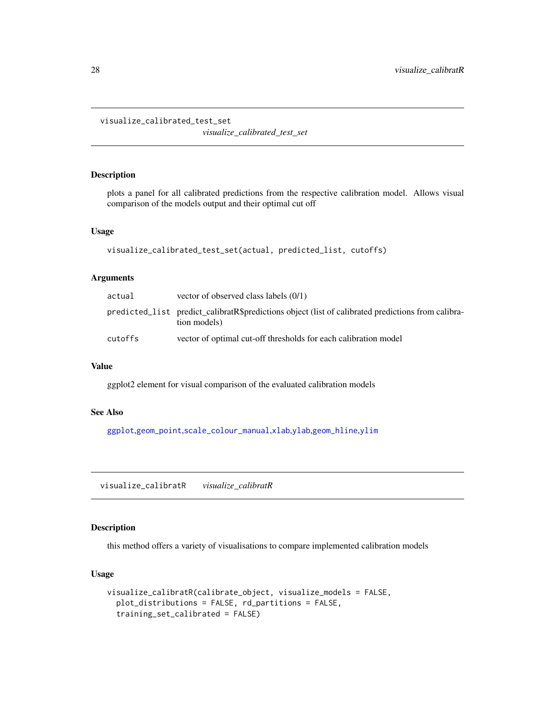<span id="page-27-0"></span>visualize\_calibrated\_test\_set

*visualize\_calibrated\_test\_set*

# Description

plots a panel for all calibrated predictions from the respective calibration model. Allows visual comparison of the models output and their optimal cut off

#### Usage

```
visualize_calibrated_test_set(actual, predicted_list, cutoffs)
```
#### Arguments

| actual  | vector of observed class labels $(0/1)$                                                                            |
|---------|--------------------------------------------------------------------------------------------------------------------|
|         | predicted_list predict_calibratR\$predictions object (list of calibrated predictions from calibra-<br>tion models) |
| cutoffs | vector of optimal cut-off thresholds for each calibration model                                                    |

#### Value

ggplot2 element for visual comparison of the evaluated calibration models

# See Also

[ggplot](#page-0-0),[geom\\_point](#page-0-0),[scale\\_colour\\_manual](#page-0-0),[xlab](#page-0-0),[ylab](#page-0-0),[geom\\_hline](#page-0-0),[ylim](#page-0-0)

<span id="page-27-1"></span>visualize\_calibratR *visualize\_calibratR*

# Description

this method offers a variety of visualisations to compare implemented calibration models

```
visualize_calibratR(calibrate_object, visualize_models = FALSE,
  plot_distributions = FALSE, rd_partitions = FALSE,
  training_set_calibrated = FALSE)
```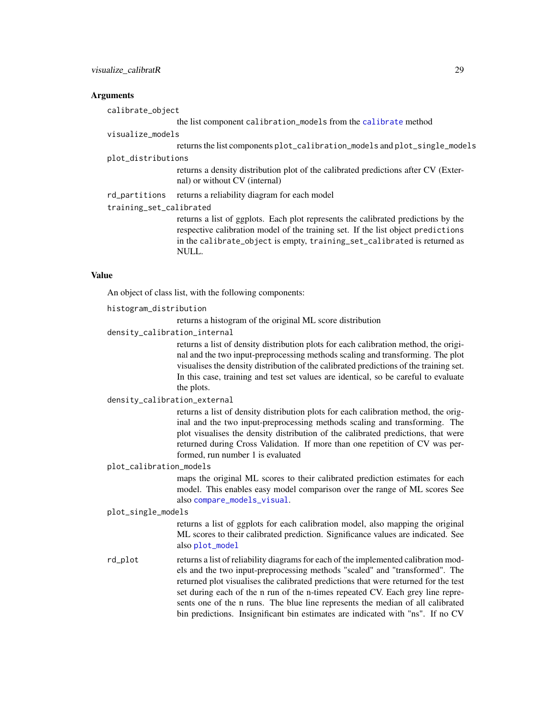#### <span id="page-28-0"></span>**Arguments**

calibrate\_object

the list component calibration models from the [calibrate](#page-4-1) method

| visualize_models        |                                                                                                                                                                                                                                                            |  |
|-------------------------|------------------------------------------------------------------------------------------------------------------------------------------------------------------------------------------------------------------------------------------------------------|--|
|                         | returns the list components plot_calibration_models and plot_single_models                                                                                                                                                                                 |  |
| plot_distributions      |                                                                                                                                                                                                                                                            |  |
|                         | returns a density distribution plot of the calibrated predictions after CV (Exter-<br>nal) or without CV (internal)                                                                                                                                        |  |
| rd_partitions           | returns a reliability diagram for each model                                                                                                                                                                                                               |  |
| training_set_calibrated |                                                                                                                                                                                                                                                            |  |
|                         | returns a list of ggplots. Each plot represents the calibrated predictions by the<br>respective calibration model of the training set. If the list object predictions<br>in the calibrate_object is empty, training_set_calibrated is returned as<br>NULL. |  |

# Value

An object of class list, with the following components:

histogram\_distribution

returns a histogram of the original ML score distribution

density\_calibration\_internal

returns a list of density distribution plots for each calibration method, the original and the two input-preprocessing methods scaling and transforming. The plot visualises the density distribution of the calibrated predictions of the training set. In this case, training and test set values are identical, so be careful to evaluate the plots.

#### density\_calibration\_external

returns a list of density distribution plots for each calibration method, the original and the two input-preprocessing methods scaling and transforming. The plot visualises the density distribution of the calibrated predictions, that were returned during Cross Validation. If more than one repetition of CV was performed, run number 1 is evaluated

#### plot\_calibration\_models

maps the original ML scores to their calibrated prediction estimates for each model. This enables easy model comparison over the range of ML scores See also [compare\\_models\\_visual](#page-8-1).

#### plot\_single\_models

returns a list of ggplots for each calibration model, also mapping the original ML scores to their calibrated prediction. Significance values are indicated. See also [plot\\_model](#page-17-1)

rd\_plot returns a list of reliability diagrams for each of the implemented calibration models and the two input-preprocessing methods "scaled" and "transformed". The returned plot visualises the calibrated predictions that were returned for the test set during each of the n run of the n-times repeated CV. Each grey line represents one of the n runs. The blue line represents the median of all calibrated bin predictions. Insignificant bin estimates are indicated with "ns". If no CV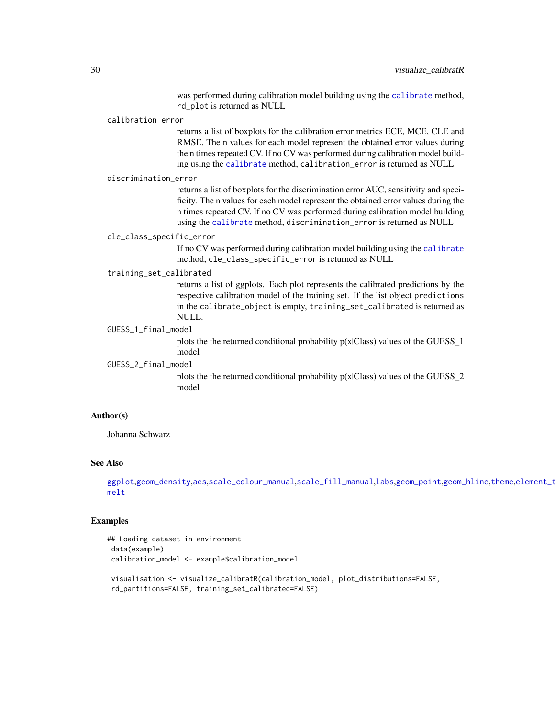was performed during calibration model building using the [calibrate](#page-4-1) method, rd\_plot is returned as NULL

#### <span id="page-29-0"></span>calibration\_error

returns a list of boxplots for the calibration error metrics ECE, MCE, CLE and RMSE. The n values for each model represent the obtained error values during the n times repeated CV. If no CV was performed during calibration model building using the [calibrate](#page-4-1) method, calibration\_error is returned as NULL

#### discrimination\_error

returns a list of boxplots for the discrimination error AUC, sensitivity and specificity. The n values for each model represent the obtained error values during the n times repeated CV. If no CV was performed during calibration model building using the [calibrate](#page-4-1) method, discrimination\_error is returned as NULL

#### cle\_class\_specific\_error

If no CV was performed during calibration model building using the [calibrate](#page-4-1) method, cle\_class\_specific\_error is returned as NULL

#### training\_set\_calibrated

returns a list of ggplots. Each plot represents the calibrated predictions by the respective calibration model of the training set. If the list object predictions in the calibrate\_object is empty, training\_set\_calibrated is returned as NULL.

#### GUESS\_1\_final\_model

plots the the returned conditional probability  $p(x|Class)$  values of the GUESS\_1 model

GUESS\_2\_final\_model

plots the the returned conditional probability p(x|Class) values of the GUESS\_2 model

#### Author(s)

Johanna Schwarz

# See Also

```
ggplotgeom_densityaesscale_colour_manualscale_fill_manuallabsgeom_pointgeom_hlinetheme,element_t
melt
```
#### Examples

```
## Loading dataset in environment
data(example)
calibration_model <- example$calibration_model
visualisation <- visualize_calibratR(calibration_model, plot_distributions=FALSE,
rd_partitions=FALSE, training_set_calibrated=FALSE)
```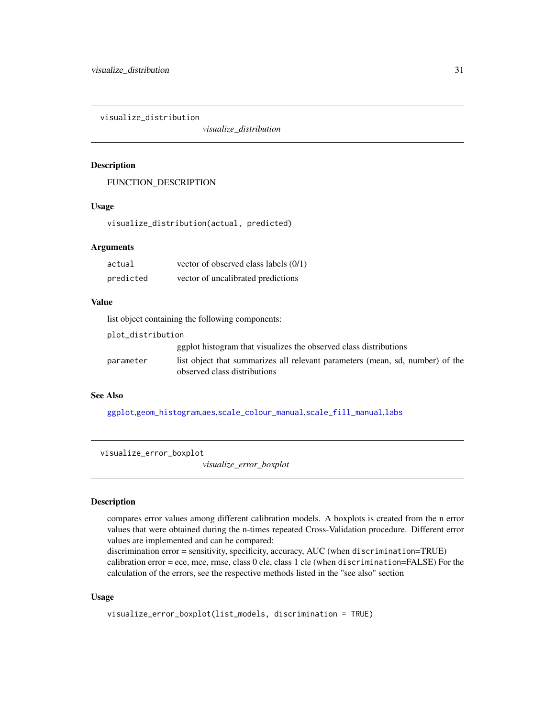<span id="page-30-0"></span>visualize\_distribution

*visualize\_distribution*

# Description

FUNCTION\_DESCRIPTION

#### Usage

visualize\_distribution(actual, predicted)

## Arguments

| actual    | vector of observed class labels (0/1) |
|-----------|---------------------------------------|
| predicted | vector of uncalibrated predictions    |

# Value

list object containing the following components:

| plot_distribution |                                                                                                               |
|-------------------|---------------------------------------------------------------------------------------------------------------|
|                   | equally general generalizes the observed class distributions                                                  |
| parameter         | list object that summarizes all relevant parameters (mean, sd, number) of the<br>observed class distributions |

# See Also

[ggplot](#page-0-0),[geom\\_histogram](#page-0-0),[aes](#page-0-0),[scale\\_colour\\_manual](#page-0-0),[scale\\_fill\\_manual](#page-0-0),[labs](#page-0-0)

visualize\_error\_boxplot

*visualize\_error\_boxplot*

#### Description

compares error values among different calibration models. A boxplots is created from the n error values that were obtained during the n-times repeated Cross-Validation procedure. Different error values are implemented and can be compared:

discrimination error = sensitivity, specificity, accuracy, AUC (when discrimination=TRUE) calibration error = ece, mce, rmse, class 0 cle, class 1 cle (when discrimination=FALSE) For the calculation of the errors, see the respective methods listed in the "see also" section

```
visualize_error_boxplot(list_models, discrimination = TRUE)
```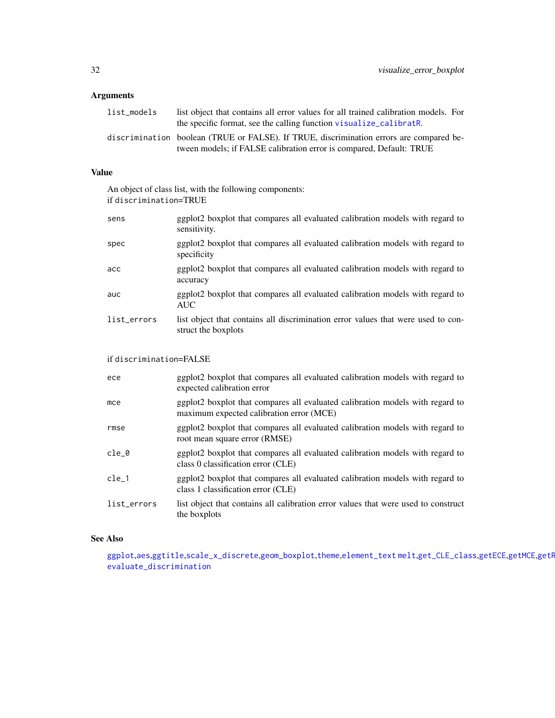# <span id="page-31-0"></span>Arguments

| list models | list object that contains all error values for all trained calibration models. For<br>the specific format, see the calling function visualize calibrath.       |
|-------------|----------------------------------------------------------------------------------------------------------------------------------------------------------------|
|             | discrimination boolean (TRUE or FALSE). If TRUE, discrimination errors are compared be-<br>tween models; if FALSE calibration error is compared, Default: TRUE |

## Value

An object of class list, with the following components: if discrimination=TRUE

| sens        | ggplot2 boxplot that compares all evaluated calibration models with regard to<br>sensitivity.           |
|-------------|---------------------------------------------------------------------------------------------------------|
| spec        | ggplot2 boxplot that compares all evaluated calibration models with regard to<br>specificity            |
| acc         | ggplot2 boxplot that compares all evaluated calibration models with regard to<br>accuracy               |
| auc         | ggplot2 boxplot that compares all evaluated calibration models with regard to<br><b>AUC</b>             |
| list_errors | list object that contains all discrimination error values that were used to con-<br>struct the boxplots |

# if discrimination=FALSE

| ece         | ggplot2 boxplot that compares all evaluated calibration models with regard to<br>expected calibration error               |
|-------------|---------------------------------------------------------------------------------------------------------------------------|
| mce         | ggplot2 boxplot that compares all evaluated calibration models with regard to<br>maximum expected calibration error (MCE) |
| rmse        | ggplot2 boxplot that compares all evaluated calibration models with regard to<br>root mean square error (RMSE)            |
| cle 0       | ggplot2 boxplot that compares all evaluated calibration models with regard to<br>class 0 classification error (CLE)       |
| cle 1       | ggplot2 boxplot that compares all evaluated calibration models with regard to<br>class 1 classification error (CLE)       |
| list_errors | list object that contains all calibration error values that were used to construct<br>the boxplots                        |

# See Also

[ggplot](#page-0-0),[aes](#page-0-0),[ggtitle](#page-0-0),[scale\\_x\\_discrete](#page-0-0),[geom\\_boxplot](#page-0-0),[theme](#page-0-0),[element\\_text](#page-0-0) [melt](#page-0-0),[get\\_CLE\\_class](#page-12-1),[getECE](#page-10-1),[getMCE](#page-11-1),getF [evaluate\\_discrimination](#page-8-2)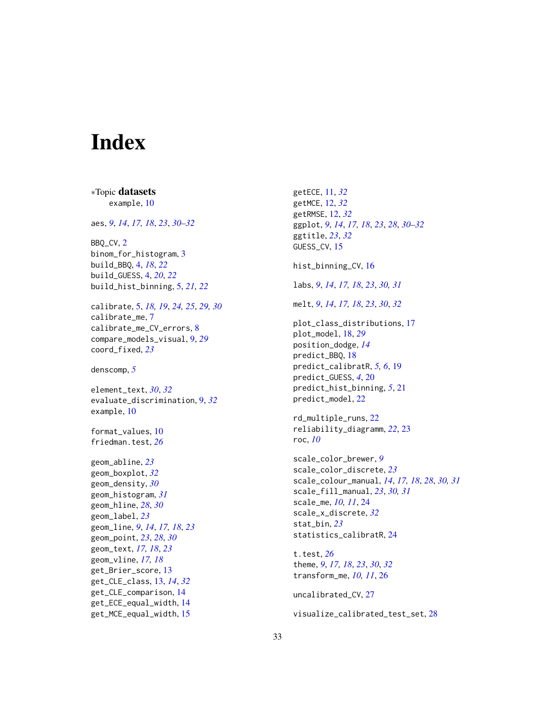# <span id="page-32-0"></span>Index

∗Topic datasets example, [10](#page-9-0) aes, *[9](#page-8-0)*, *[14](#page-13-0)*, *[17,](#page-16-0) [18](#page-17-0)*, *[23](#page-22-0)*, *[30–](#page-29-0)[32](#page-31-0)* BBQ\_CV, [2](#page-1-0) binom\_for\_histogram, [3](#page-2-0) build\_BBQ, [4,](#page-3-0) *[18](#page-17-0)*, *[22](#page-21-0)* build\_GUESS, [4,](#page-3-0) *[20](#page-19-0)*, *[22](#page-21-0)* build\_hist\_binning, [5,](#page-4-0) *[21,](#page-20-0) [22](#page-21-0)* calibrate, [5,](#page-4-0) *[18,](#page-17-0) [19](#page-18-0)*, *[24,](#page-23-0) [25](#page-24-0)*, *[29,](#page-28-0) [30](#page-29-0)* calibrate\_me, [7](#page-6-0) calibrate\_me\_CV\_errors, [8](#page-7-0) compare\_models\_visual, [9,](#page-8-0) *[29](#page-28-0)* coord\_fixed, *[23](#page-22-0)* denscomp, *[5](#page-4-0)* element\_text, *[30](#page-29-0)*, *[32](#page-31-0)* evaluate\_discrimination, [9,](#page-8-0) *[32](#page-31-0)* example, [10](#page-9-0) format\_values, [10](#page-9-0) friedman.test, *[26](#page-25-0)* geom\_abline, *[23](#page-22-0)* geom\_boxplot, *[32](#page-31-0)* geom\_density, *[30](#page-29-0)* geom\_histogram, *[31](#page-30-0)* geom\_hline, *[28](#page-27-0)*, *[30](#page-29-0)* geom\_label, *[23](#page-22-0)* geom\_line, *[9](#page-8-0)*, *[14](#page-13-0)*, *[17,](#page-16-0) [18](#page-17-0)*, *[23](#page-22-0)* geom\_point, *[23](#page-22-0)*, *[28](#page-27-0)*, *[30](#page-29-0)* geom\_text, *[17,](#page-16-0) [18](#page-17-0)*, *[23](#page-22-0)* geom\_vline, *[17,](#page-16-0) [18](#page-17-0)* get\_Brier\_score, [13](#page-12-0) get\_CLE\_class, [13,](#page-12-0) *[14](#page-13-0)*, *[32](#page-31-0)* get\_CLE\_comparison, [14](#page-13-0) get\_ECE\_equal\_width, [14](#page-13-0) get\_MCE\_equal\_width, [15](#page-14-0)

getECE, [11,](#page-10-0) *[32](#page-31-0)* getMCE, [12,](#page-11-0) *[32](#page-31-0)* getRMSE, [12,](#page-11-0) *[32](#page-31-0)* ggplot, *[9](#page-8-0)*, *[14](#page-13-0)*, *[17,](#page-16-0) [18](#page-17-0)*, *[23](#page-22-0)*, *[28](#page-27-0)*, *[30](#page-29-0)[–32](#page-31-0)* ggtitle, *[23](#page-22-0)*, *[32](#page-31-0)* GUESS\_CV, [15](#page-14-0) hist\_binning\_CV, [16](#page-15-0) labs, *[9](#page-8-0)*, *[14](#page-13-0)*, *[17,](#page-16-0) [18](#page-17-0)*, *[23](#page-22-0)*, *[30,](#page-29-0) [31](#page-30-0)* melt, *[9](#page-8-0)*, *[14](#page-13-0)*, *[17,](#page-16-0) [18](#page-17-0)*, *[23](#page-22-0)*, *[30](#page-29-0)*, *[32](#page-31-0)* plot\_class\_distributions, [17](#page-16-0) plot\_model, [18,](#page-17-0) *[29](#page-28-0)* position\_dodge, *[14](#page-13-0)* predict\_BBQ, [18](#page-17-0) predict\_calibratR, *[5,](#page-4-0) [6](#page-5-0)*, [19](#page-18-0) predict\_GUESS, *[4](#page-3-0)*, [20](#page-19-0) predict\_hist\_binning, *[5](#page-4-0)*, [21](#page-20-0) predict\_model, [22](#page-21-0) rd\_multiple\_runs, [22](#page-21-0) reliability\_diagramm, *[22](#page-21-0)*, [23](#page-22-0) roc, *[10](#page-9-0)* scale\_color\_brewer, *[9](#page-8-0)* scale\_color\_discrete, *[23](#page-22-0)* scale\_colour\_manual, *[14](#page-13-0)*, *[17,](#page-16-0) [18](#page-17-0)*, *[28](#page-27-0)*, *[30,](#page-29-0) [31](#page-30-0)* scale\_fill\_manual, *[23](#page-22-0)*, *[30,](#page-29-0) [31](#page-30-0)* scale\_me, *[10,](#page-9-0) [11](#page-10-0)*, [24](#page-23-0) scale\_x\_discrete, *[32](#page-31-0)* stat\_bin, *[23](#page-22-0)* statistics\_calibratR, [24](#page-23-0) t.test, *[26](#page-25-0)* theme, *[9](#page-8-0)*, *[17,](#page-16-0) [18](#page-17-0)*, *[23](#page-22-0)*, *[30](#page-29-0)*, *[32](#page-31-0)* transform\_me, *[10,](#page-9-0) [11](#page-10-0)*, [26](#page-25-0) uncalibrated\_CV, [27](#page-26-0)

visualize\_calibrated\_test\_set, [28](#page-27-0)